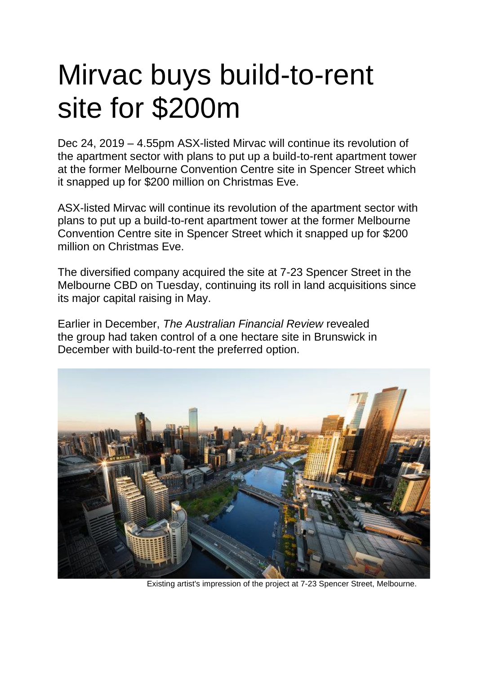## Mirvac buys build-to-rent site for \$200m

Dec 24, 2019 – 4.55pm [ASX-listed](https://www.afr.com/property/residential/mirvac-charges-through-downcycle-with-new-development-plans-20191211-p53iqu) Mirvac will continue its revolution of the apartment sector with plans to put up a build-to-rent apartment tower at the former Melbourne Convention Centre site in Spencer Street which it snapped up for \$200 million on Christmas Eve.

[ASX-listed](https://www.afr.com/property/residential/mirvac-charges-through-downcycle-with-new-development-plans-20191211-p53iqu) Mirvac will continue its revolution of the apartment sector with plans to put up a build-to-rent apartment tower at the former Melbourne Convention Centre site in Spencer Street which it snapped up for \$200 million on Christmas Eve.

The diversified company acquired the site at 7-23 Spencer Street in the Melbourne CBD on Tuesday, continuing its roll in land acquisitions since its major capital raising in May.

Earlier in December, *The Australian Financial Review* revealed the group had taken control of a one hectare site in [Brunswick](https://www.afr.com/property/residential/mirvac-snaps-up-inner-melbourne-super-site-for-build-to-rent-20191210-p53ila) in December with [build-to-rent](https://www.afr.com/property/residential/mirvac-snaps-up-inner-melbourne-super-site-for-build-to-rent-20191210-p53ila) the preferred option.



Existing artist's impression of the project at 7-23 Spencer Street, Melbourne.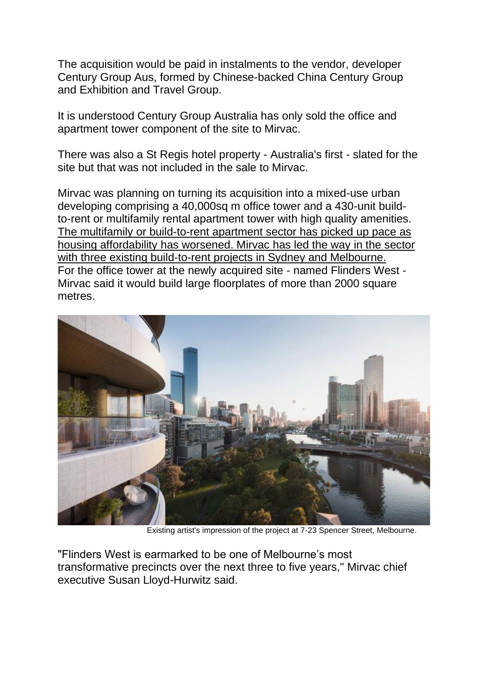The acquisition would be paid in [instalments](https://www.afr.com/property/chinas-century-arrives-in-luxury-skycrapers-on-the-yarra-20180321-h0xr10) to the vendor, developer Century Group Aus, formed by [Chinese-backed](https://www.afr.com/property/chinas-century-arrives-in-luxury-skycrapers-on-the-yarra-20180321-h0xr10) China Century Group and [Exhibition](https://www.afr.com/property/chinas-century-arrives-in-luxury-skycrapers-on-the-yarra-20180321-h0xr10) and Travel Group.

It is understood Century Group Australia has only sold the office and apartment tower component of the site to Mirvac.

There was also a St Regis hotel property - Australia's first - slated for the site but that was not included in the sale to Mirvac.

Mirvac was planning on turning its acquisition into a mixed-use urban developing comprising a 40,000sq m office tower and a 430-unit buildto-rent or multifamily rental apartment tower with high quality amenities. The multifamily or [build-to-rent](https://www.afr.com/property/residential/mirvac-charges-through-downcycle-with-new-development-plans-20191211-p53iqu) apartment sector has picked up pace as housing [affordability](https://www.afr.com/property/residential/mirvac-charges-through-downcycle-with-new-development-plans-20191211-p53iqu) has worsened. Mirvac has led the way in the sector with three existing [build-to-rent](https://www.afr.com/property/residential/mirvac-charges-through-downcycle-with-new-development-plans-20191211-p53iqu) projects in Sydney and Melbourne. For the office tower at the newly acquired site - named Flinders West - Mirvac said it would build large floorplates of more than 2000 square metres.



Existing artist's impression of the project at 7-23 Spencer Street, Melbourne.

"Flinders West is earmarked to be one of Melbourne's most transformative precincts over the next three to five years," Mirvac chief executive Susan Lloyd-Hurwitz said.